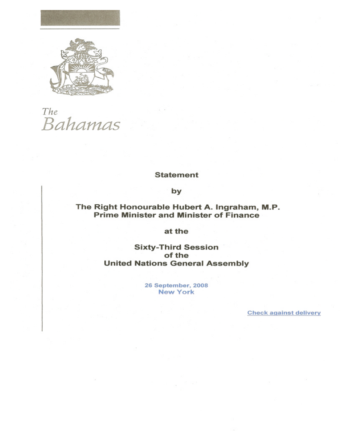

The <sub>The</sub><br>Bahamas

## **Statement**

by

## The Right Honourable Hubert A. Ingraham, M.P.<br>Prime Minister and Minister of Finance

## at the

**Sixty-Third Session** of the **United Nations General Assembly** 

> 26 September, 2008 **New York**

> > **Check against delivery**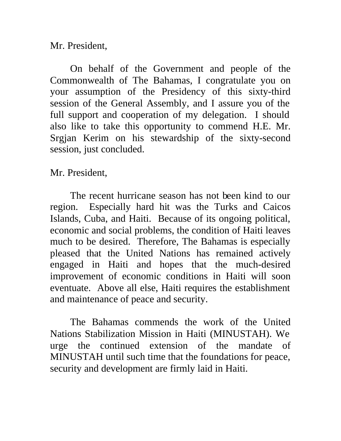Mr. President,

On behalf of the Government and people of the Commonwealth of The Bahamas, I congratulate you on your assumption of the Presidency of this sixty-third session of the General Assembly, and I assure you of the full support and cooperation of my delegation. I should also like to take this opportunity to commend H.E. Mr. Srgjan Kerim on his stewardship of the sixty-second session, just concluded.

Mr. President,

The recent hurricane season has not been kind to our region. Especially hard hit was the Turks and Caicos Islands, Cuba, and Haiti. Because of its ongoing political, economic and social problems, the condition of Haiti leaves much to be desired. Therefore, The Bahamas is especially pleased that the United Nations has remained actively engaged in Haiti and hopes that the much-desired improvement of economic conditions in Haiti will soon eventuate. Above all else, Haiti requires the establishment and maintenance of peace and security.

The Bahamas commends the work of the United Nations Stabilization Mission in Haiti (MINUSTAH). We urge the continued extension of the mandate of MINUSTAH until such time that the foundations for peace, security and development are firmly laid in Haiti.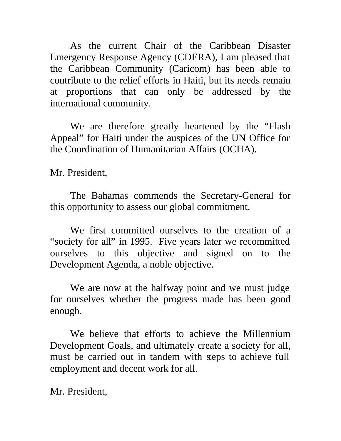As the current Chair of the Caribbean Disaster Emergency Response Agency (CDERA), I am pleased that the Caribbean Community (Caricom) has been able to contribute to the relief efforts in Haiti, but its needs remain at proportions that can only be addressed by the international community.

We are therefore greatly heartened by the "Flash Appeal" for Haiti under the auspices of the UN Office for the Coordination of Humanitarian Affairs (OCHA).

Mr. President,

The Bahamas commends the Secretary-General for this opportunity to assess our global commitment.

We first committed ourselves to the creation of a "society for all" in 1995. Five years later we recommitted ourselves to this objective and signed on to the Development Agenda, a noble objective.

We are now at the halfway point and we must judge for ourselves whether the progress made has been good enough.

We believe that efforts to achieve the Millennium Development Goals, and ultimately create a society for all, must be carried out in tandem with steps to achieve full employment and decent work for all.

Mr. President,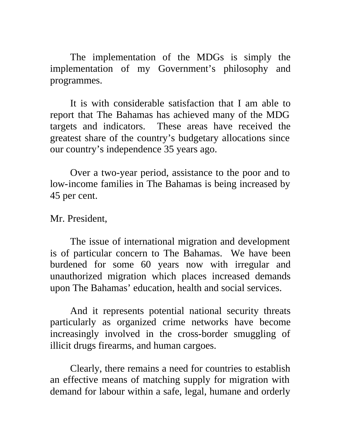The implementation of the MDGs is simply the implementation of my Government's philosophy and programmes.

It is with considerable satisfaction that I am able to report that The Bahamas has achieved many of the MDG targets and indicators. These areas have received the greatest share of the country's budgetary allocations since our country's independence 35 years ago.

Over a two-year period, assistance to the poor and to low-income families in The Bahamas is being increased by 45 per cent.

## Mr. President,

The issue of international migration and development is of particular concern to The Bahamas. We have been burdened for some 60 years now with irregular and unauthorized migration which places increased demands upon The Bahamas' education, health and social services.

And it represents potential national security threats particularly as organized crime networks have become increasingly involved in the cross-border smuggling of illicit drugs firearms, and human cargoes.

Clearly, there remains a need for countries to establish an effective means of matching supply for migration with demand for labour within a safe, legal, humane and orderly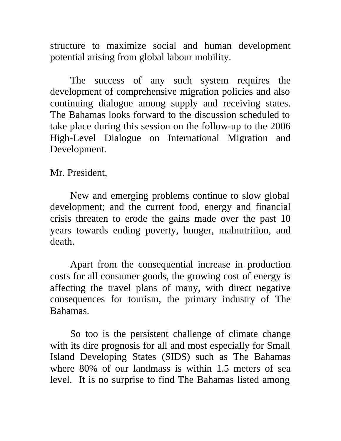structure to maximize social and human development potential arising from global labour mobility.

The success of any such system requires the development of comprehensive migration policies and also continuing dialogue among supply and receiving states. The Bahamas looks forward to the discussion scheduled to take place during this session on the follow-up to the 2006 High-Level Dialogue on International Migration and Development.

Mr. President,

New and emerging problems continue to slow global development; and the current food, energy and financial crisis threaten to erode the gains made over the past 10 years towards ending poverty, hunger, malnutrition, and death.

Apart from the consequential increase in production costs for all consumer goods, the growing cost of energy is affecting the travel plans of many, with direct negative consequences for tourism, the primary industry of The Bahamas.

So too is the persistent challenge of climate change with its dire prognosis for all and most especially for Small Island Developing States (SIDS) such as The Bahamas where 80% of our landmass is within 1.5 meters of sea level. It is no surprise to find The Bahamas listed among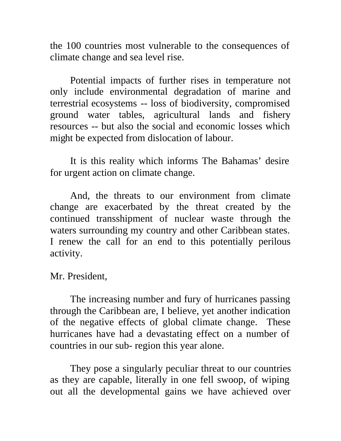the 100 countries most vulnerable to the consequences of climate change and sea level rise.

Potential impacts of further rises in temperature not only include environmental degradation of marine and terrestrial ecosystems -- loss of biodiversity, compromised ground water tables, agricultural lands and fishery resources -- but also the social and economic losses which might be expected from dislocation of labour.

It is this reality which informs The Bahamas' desire for urgent action on climate change.

And, the threats to our environment from climate change are exacerbated by the threat created by the continued transshipment of nuclear waste through the waters surrounding my country and other Caribbean states. I renew the call for an end to this potentially perilous activity.

Mr. President,

The increasing number and fury of hurricanes passing through the Caribbean are, I believe, yet another indication of the negative effects of global climate change. These hurricanes have had a devastating effect on a number of countries in our sub- region this year alone.

They pose a singularly peculiar threat to our countries as they are capable, literally in one fell swoop, of wiping out all the developmental gains we have achieved over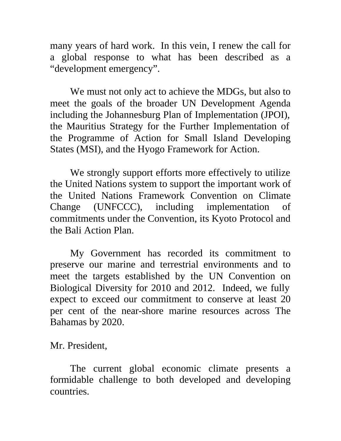many years of hard work. In this vein, I renew the call for a global response to what has been described as a "development emergency".

We must not only act to achieve the MDGs, but also to meet the goals of the broader UN Development Agenda including the Johannesburg Plan of Implementation (JPOI), the Mauritius Strategy for the Further Implementation of the Programme of Action for Small Island Developing States (MSI), and the Hyogo Framework for Action.

We strongly support efforts more effectively to utilize the United Nations system to support the important work of the United Nations Framework Convention on Climate Change (UNFCCC), including implementation of commitments under the Convention, its Kyoto Protocol and the Bali Action Plan.

My Government has recorded its commitment to preserve our marine and terrestrial environments and to meet the targets established by the UN Convention on Biological Diversity for 2010 and 2012. Indeed, we fully expect to exceed our commitment to conserve at least 20 per cent of the near-shore marine resources across The Bahamas by 2020.

Mr. President,

The current global economic climate presents a formidable challenge to both developed and developing countries.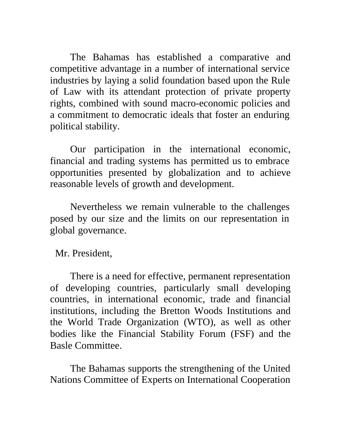The Bahamas has established a comparative and competitive advantage in a number of international service industries by laying a solid foundation based upon the Rule of Law with its attendant protection of private property rights, combined with sound macro-economic policies and a commitment to democratic ideals that foster an enduring political stability.

Our participation in the international economic, financial and trading systems has permitted us to embrace opportunities presented by globalization and to achieve reasonable levels of growth and development.

Nevertheless we remain vulnerable to the challenges posed by our size and the limits on our representation in global governance.

Mr. President,

There is a need for effective, permanent representation of developing countries, particularly small developing countries, in international economic, trade and financial institutions, including the Bretton Woods Institutions and the World Trade Organization (WTO), as well as other bodies like the Financial Stability Forum (FSF) and the Basle Committee.

The Bahamas supports the strengthening of the United Nations Committee of Experts on International Cooperation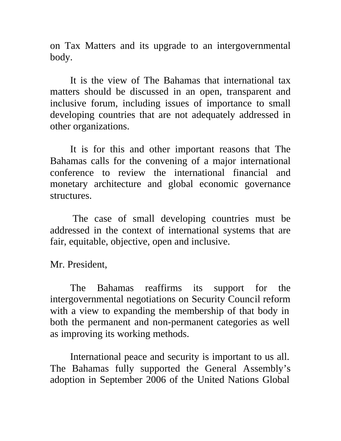on Tax Matters and its upgrade to an intergovernmental body.

It is the view of The Bahamas that international tax matters should be discussed in an open, transparent and inclusive forum, including issues of importance to small developing countries that are not adequately addressed in other organizations.

It is for this and other important reasons that The Bahamas calls for the convening of a major international conference to review the international financial and monetary architecture and global economic governance structures.

 The case of small developing countries must be addressed in the context of international systems that are fair, equitable, objective, open and inclusive.

Mr. President,

The Bahamas reaffirms its support for the intergovernmental negotiations on Security Council reform with a view to expanding the membership of that body in both the permanent and non-permanent categories as well as improving its working methods.

International peace and security is important to us all. The Bahamas fully supported the General Assembly's adoption in September 2006 of the United Nations Global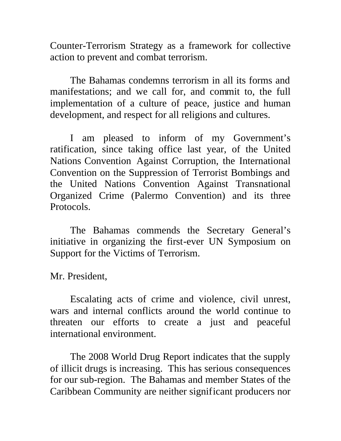Counter-Terrorism Strategy as a framework for collective action to prevent and combat terrorism.

The Bahamas condemns terrorism in all its forms and manifestations; and we call for, and commit to, the full implementation of a culture of peace, justice and human development, and respect for all religions and cultures.

I am pleased to inform of my Government's ratification, since taking office last year, of the United Nations Convention Against Corruption, the International Convention on the Suppression of Terrorist Bombings and the United Nations Convention Against Transnational Organized Crime (Palermo Convention) and its three Protocols.

The Bahamas commends the Secretary General's initiative in organizing the first-ever UN Symposium on Support for the Victims of Terrorism.

Mr. President,

Escalating acts of crime and violence, civil unrest, wars and internal conflicts around the world continue to threaten our efforts to create a just and peaceful international environment.

The 2008 World Drug Report indicates that the supply of illicit drugs is increasing. This has serious consequences for our sub-region. The Bahamas and member States of the Caribbean Community are neither significant producers nor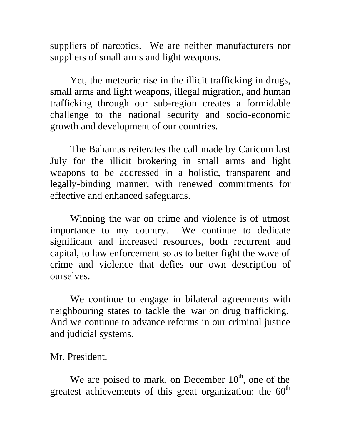suppliers of narcotics. We are neither manufacturers nor suppliers of small arms and light weapons.

Yet, the meteoric rise in the illicit trafficking in drugs, small arms and light weapons, illegal migration, and human trafficking through our sub-region creates a formidable challenge to the national security and socio-economic growth and development of our countries.

The Bahamas reiterates the call made by Caricom last July for the illicit brokering in small arms and light weapons to be addressed in a holistic, transparent and legally-binding manner, with renewed commitments for effective and enhanced safeguards.

Winning the war on crime and violence is of utmost importance to my country. We continue to dedicate significant and increased resources, both recurrent and capital, to law enforcement so as to better fight the wave of crime and violence that defies our own description of ourselves.

We continue to engage in bilateral agreements with neighbouring states to tackle the war on drug trafficking. And we continue to advance reforms in our criminal justice and judicial systems.

Mr. President,

We are poised to mark, on December  $10<sup>th</sup>$ , one of the greatest achievements of this great organization: the  $60<sup>th</sup>$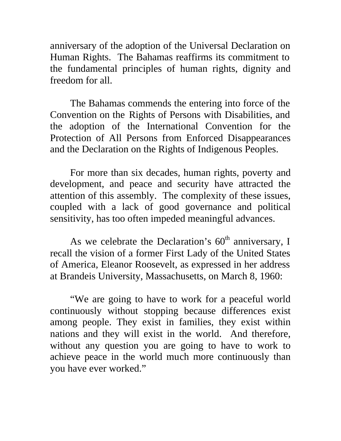anniversary of the adoption of the Universal Declaration on Human Rights. The Bahamas reaffirms its commitment to the fundamental principles of human rights, dignity and freedom for all.

The Bahamas commends the entering into force of the Convention on the Rights of Persons with Disabilities, and the adoption of the International Convention for the Protection of All Persons from Enforced Disappearances and the Declaration on the Rights of Indigenous Peoples.

For more than six decades, human rights, poverty and development, and peace and security have attracted the attention of this assembly. The complexity of these issues, coupled with a lack of good governance and political sensitivity, has too often impeded meaningful advances.

As we celebrate the Declaration's  $60<sup>th</sup>$  anniversary, I recall the vision of a former First Lady of the United States of America, Eleanor Roosevelt, as expressed in her address at Brandeis University, Massachusetts, on March 8, 1960:

"We are going to have to work for a peaceful world continuously without stopping because differences exist among people. They exist in families, they exist within nations and they will exist in the world. And therefore, without any question you are going to have to work to achieve peace in the world much more continuously than you have ever worked."